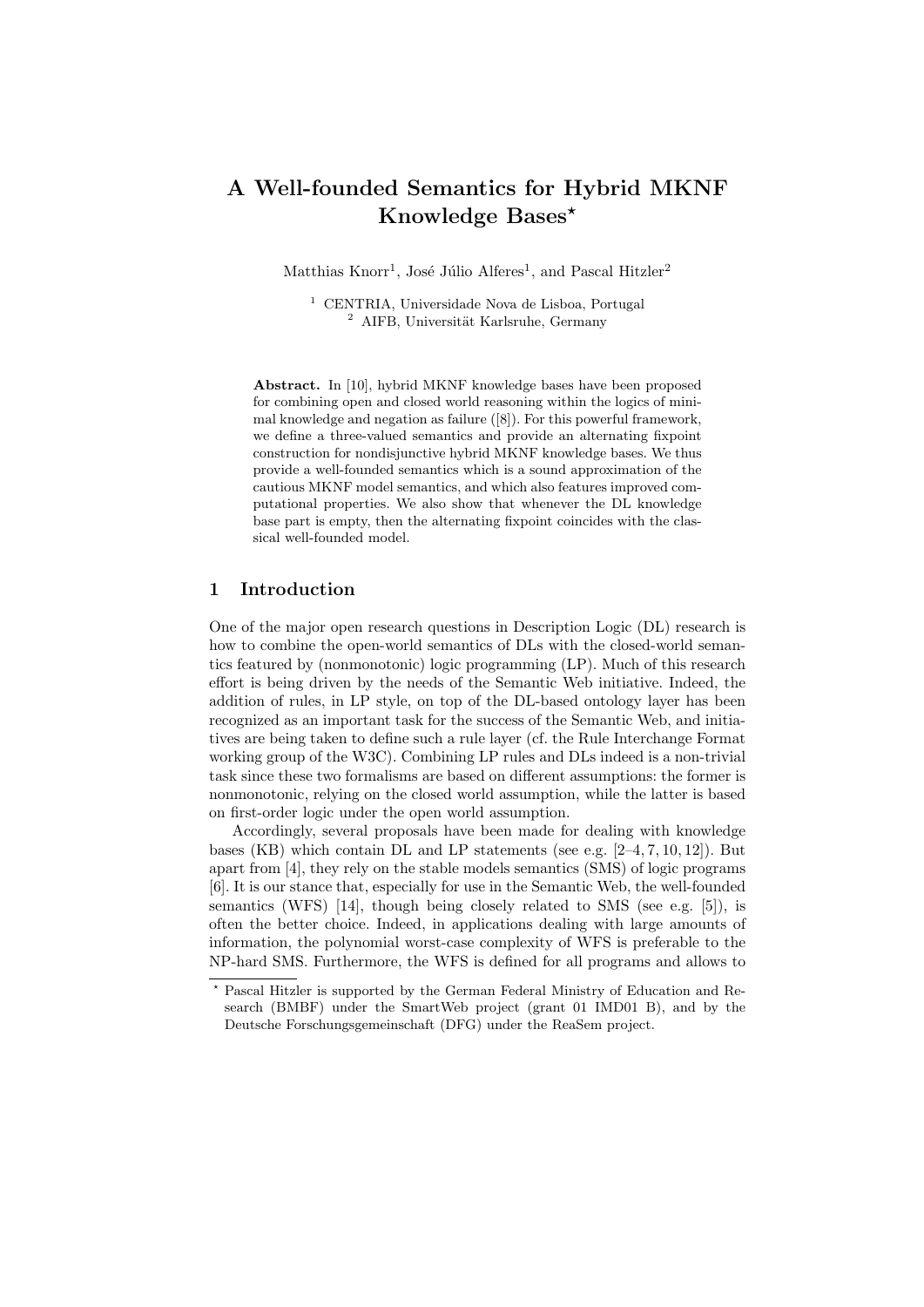# A Well-founded Semantics for Hybrid MKNF Knowledge Bases?

Matthias  $\text{Knorr}^1$ , José Júlio Alferes<sup>1</sup>, and Pascal Hitzler<sup>2</sup>

<sup>1</sup> CENTRIA, Universidade Nova de Lisboa, Portugal <sup>2</sup> AIFB. Universität Karlsruhe, Germany

Abstract. In [10], hybrid MKNF knowledge bases have been proposed for combining open and closed world reasoning within the logics of minimal knowledge and negation as failure ([8]). For this powerful framework, we define a three-valued semantics and provide an alternating fixpoint construction for nondisjunctive hybrid MKNF knowledge bases. We thus provide a well-founded semantics which is a sound approximation of the cautious MKNF model semantics, and which also features improved computational properties. We also show that whenever the DL knowledge base part is empty, then the alternating fixpoint coincides with the classical well-founded model.

# 1 Introduction

One of the major open research questions in Description Logic (DL) research is how to combine the open-world semantics of DLs with the closed-world semantics featured by (nonmonotonic) logic programming (LP). Much of this research effort is being driven by the needs of the Semantic Web initiative. Indeed, the addition of rules, in LP style, on top of the DL-based ontology layer has been recognized as an important task for the success of the Semantic Web, and initiatives are being taken to define such a rule layer (cf. the Rule Interchange Format working group of the W3C). Combining LP rules and DLs indeed is a non-trivial task since these two formalisms are based on different assumptions: the former is nonmonotonic, relying on the closed world assumption, while the latter is based on first-order logic under the open world assumption.

Accordingly, several proposals have been made for dealing with knowledge bases (KB) which contain DL and LP statements (see e.g. [2–4, 7, 10, 12]). But apart from [4], they rely on the stable models semantics (SMS) of logic programs [6]. It is our stance that, especially for use in the Semantic Web, the well-founded semantics (WFS) [14], though being closely related to SMS (see e.g. [5]), is often the better choice. Indeed, in applications dealing with large amounts of information, the polynomial worst-case complexity of WFS is preferable to the NP-hard SMS. Furthermore, the WFS is defined for all programs and allows to

<sup>?</sup> Pascal Hitzler is supported by the German Federal Ministry of Education and Research (BMBF) under the SmartWeb project (grant 01 IMD01 B), and by the Deutsche Forschungsgemeinschaft (DFG) under the ReaSem project.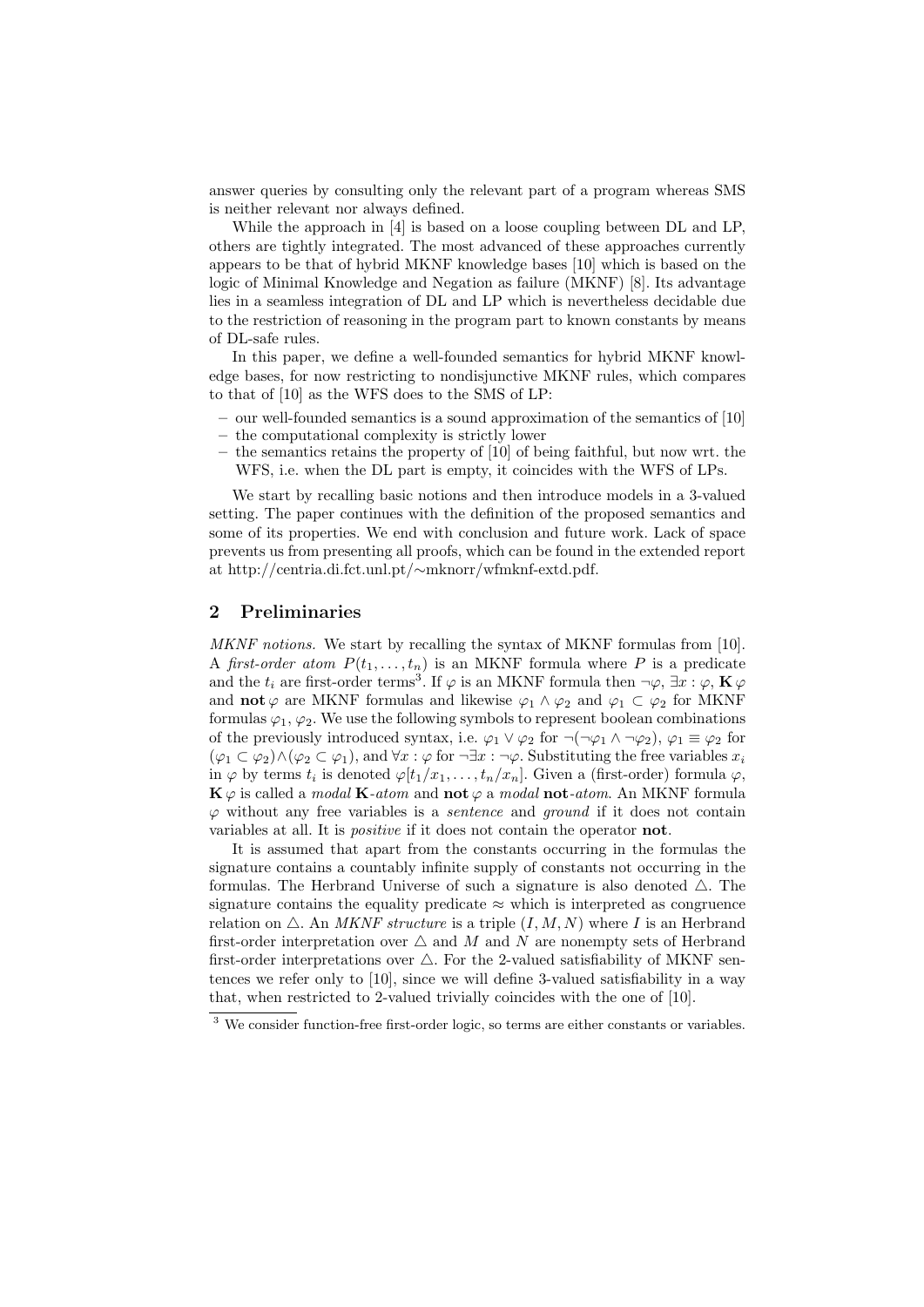answer queries by consulting only the relevant part of a program whereas SMS is neither relevant nor always defined.

While the approach in [4] is based on a loose coupling between DL and LP, others are tightly integrated. The most advanced of these approaches currently appears to be that of hybrid MKNF knowledge bases [10] which is based on the logic of Minimal Knowledge and Negation as failure (MKNF) [8]. Its advantage lies in a seamless integration of DL and LP which is nevertheless decidable due to the restriction of reasoning in the program part to known constants by means of DL-safe rules.

In this paper, we define a well-founded semantics for hybrid MKNF knowledge bases, for now restricting to nondisjunctive MKNF rules, which compares to that of [10] as the WFS does to the SMS of LP:

- our well-founded semantics is a sound approximation of the semantics of [10]
- the computational complexity is strictly lower
- the semantics retains the property of [10] of being faithful, but now wrt. the WFS, i.e. when the DL part is empty, it coincides with the WFS of LPs.

We start by recalling basic notions and then introduce models in a 3-valued setting. The paper continues with the definition of the proposed semantics and some of its properties. We end with conclusion and future work. Lack of space prevents us from presenting all proofs, which can be found in the extended report at http://centria.di.fct.unl.pt/∼mknorr/wfmknf-extd.pdf.

## 2 Preliminaries

MKNF notions. We start by recalling the syntax of MKNF formulas from [10]. A first-order atom  $P(t_1, \ldots, t_n)$  is an MKNF formula where P is a predicate and the  $t_i$  are first-order terms<sup>3</sup>. If  $\varphi$  is an MKNF formula then  $\neg \varphi$ ,  $\exists x : \varphi$ ,  $\mathbf{K} \varphi$ and **not**  $\varphi$  are MKNF formulas and likewise  $\varphi_1 \wedge \varphi_2$  and  $\varphi_1 \subset \varphi_2$  for MKNF formulas  $\varphi_1, \varphi_2$ . We use the following symbols to represent boolean combinations of the previously introduced syntax, i.e.  $\varphi_1 \vee \varphi_2$  for  $\neg(\neg \varphi_1 \wedge \neg \varphi_2)$ ,  $\varphi_1 \equiv \varphi_2$  for  $(\varphi_1 \subset \varphi_2) \wedge (\varphi_2 \subset \varphi_1)$ , and  $\forall x : \varphi$  for  $\neg \exists x : \neg \varphi$ . Substituting the free variables  $x_i$ in  $\varphi$  by terms  $t_i$  is denoted  $\varphi[t_1/x_1,\ldots,t_n/x_n]$ . Given a (first-order) formula  $\varphi$ ,  $\mathbf{K}\varphi$  is called a *modal*  $\mathbf{K}\text{-}atom$  and  $\mathbf{not}\varphi$  a *modal*  $\mathbf{not}\text{-}atom$ . An MKNF formula  $\varphi$  without any free variables is a *sentence* and *ground* if it does not contain variables at all. It is *positive* if it does not contain the operator **not**.

It is assumed that apart from the constants occurring in the formulas the signature contains a countably infinite supply of constants not occurring in the formulas. The Herbrand Universe of such a signature is also denoted  $\triangle$ . The signature contains the equality predicate  $\approx$  which is interpreted as congruence relation on  $\triangle$ . An *MKNF structure* is a triple  $(I, M, N)$  where I is an Herbrand first-order interpretation over  $\triangle$  and M and N are nonempty sets of Herbrand first-order interpretations over  $\triangle$ . For the 2-valued satisfiability of MKNF sentences we refer only to [10], since we will define 3-valued satisfiability in a way that, when restricted to 2-valued trivially coincides with the one of [10].

<sup>&</sup>lt;sup>3</sup> We consider function-free first-order logic, so terms are either constants or variables.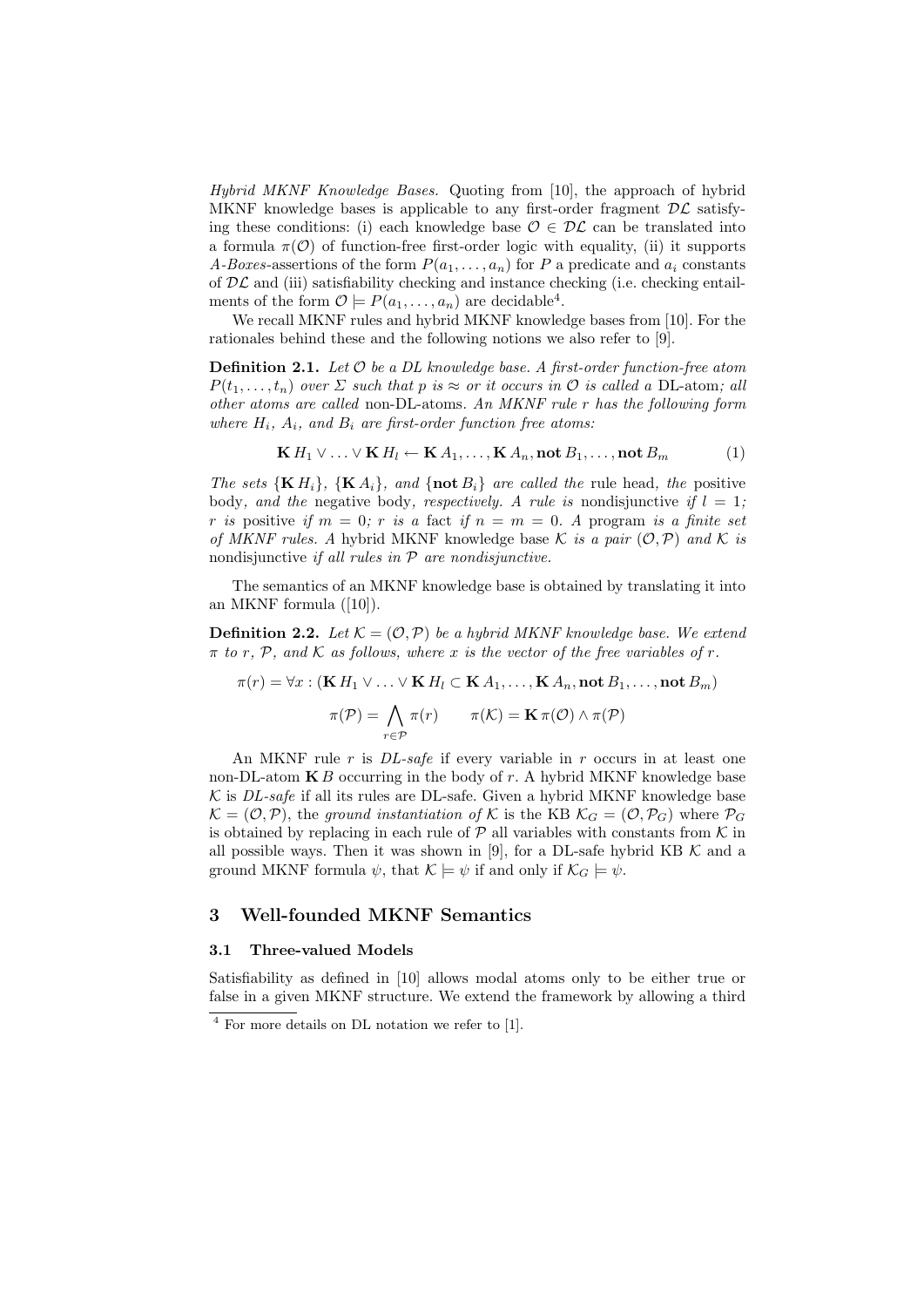Hybrid MKNF Knowledge Bases. Quoting from [10], the approach of hybrid MKNF knowledge bases is applicable to any first-order fragment  $\mathcal{DL}$  satisfying these conditions: (i) each knowledge base  $\mathcal{O} \in \mathcal{DL}$  can be translated into a formula  $\pi(\mathcal{O})$  of function-free first-order logic with equality, (ii) it supports A-Boxes-assertions of the form  $P(a_1, \ldots, a_n)$  for P a predicate and  $a_i$  constants of  $D\mathcal{L}$  and (iii) satisfiability checking and instance checking (i.e. checking entailments of the form  $\mathcal{O} \models P(a_1, \ldots, a_n)$  are decidable<sup>4</sup>.

We recall MKNF rules and hybrid MKNF knowledge bases from [10]. For the rationales behind these and the following notions we also refer to [9].

**Definition 2.1.** Let  $\mathcal O$  be a DL knowledge base. A first-order function-free atom  $P(t_1, \ldots, t_n)$  over  $\Sigma$  such that p is  $\approx$  or it occurs in  $\mathcal O$  is called a DL-atom; all other atoms are called non-DL-atoms. An MKNF rule r has the following form where  $H_i$ ,  $A_i$ , and  $B_i$  are first-order function free atoms:

$$
\mathbf{K} H_1 \vee \ldots \vee \mathbf{K} H_l \leftarrow \mathbf{K} A_1, \ldots, \mathbf{K} A_n, \text{not } B_1, \ldots, \text{not } B_m \tag{1}
$$

The sets  $\{K H_i\}$ ,  $\{K A_i\}$ , and  $\{\textbf{not} B_i\}$  are called the rule head, the positive body, and the negative body, respectively. A rule is nondisjunctive if  $l = 1$ ; r is positive if  $m = 0$ ; r is a fact if  $n = m = 0$ . A program is a finite set of MKNF rules. A hybrid MKNF knowledge base K is a pair  $(0, \mathcal{P})$  and K is nondisjunctive if all rules in  $P$  are nondisjunctive.

The semantics of an MKNF knowledge base is obtained by translating it into an MKNF formula ([10]).

**Definition 2.2.** Let  $K = (O, P)$  be a hybrid MKNF knowledge base. We extend  $\pi$  to r, P, and K as follows, where x is the vector of the free variables of r.

$$
\pi(r) = \forall x : (\mathbf{K} H_1 \lor \dots \lor \mathbf{K} H_l \subset \mathbf{K} A_1, \dots, \mathbf{K} A_n, \text{not } B_1, \dots, \text{not } B_m)
$$

$$
\pi(\mathcal{P}) = \bigwedge_{r \in \mathcal{P}} \pi(r) \qquad \pi(\mathcal{K}) = \mathbf{K} \pi(\mathcal{O}) \land \pi(\mathcal{P})
$$

An MKNF rule r is *DL-safe* if every variable in r occurs in at least one non-DL-atom  $\mathbf{K}B$  occurring in the body of r. A hybrid MKNF knowledge base  $K$  is *DL-safe* if all its rules are DL-safe. Given a hybrid MKNF knowledge base  $\mathcal{K} = (\mathcal{O}, \mathcal{P})$ , the ground instantiation of K is the KB  $\mathcal{K}_G = (\mathcal{O}, \mathcal{P}_G)$  where  $\mathcal{P}_G$ is obtained by replacing in each rule of  $P$  all variables with constants from  $K$  in all possible ways. Then it was shown in [9], for a DL-safe hybrid KB  $K$  and a ground MKNF formula  $\psi$ , that  $\mathcal{K} \models \psi$  if and only if  $\mathcal{K}_G \models \psi$ .

# 3 Well-founded MKNF Semantics

#### 3.1 Three-valued Models

Satisfiability as defined in [10] allows modal atoms only to be either true or false in a given MKNF structure. We extend the framework by allowing a third

<sup>4</sup> For more details on DL notation we refer to [1].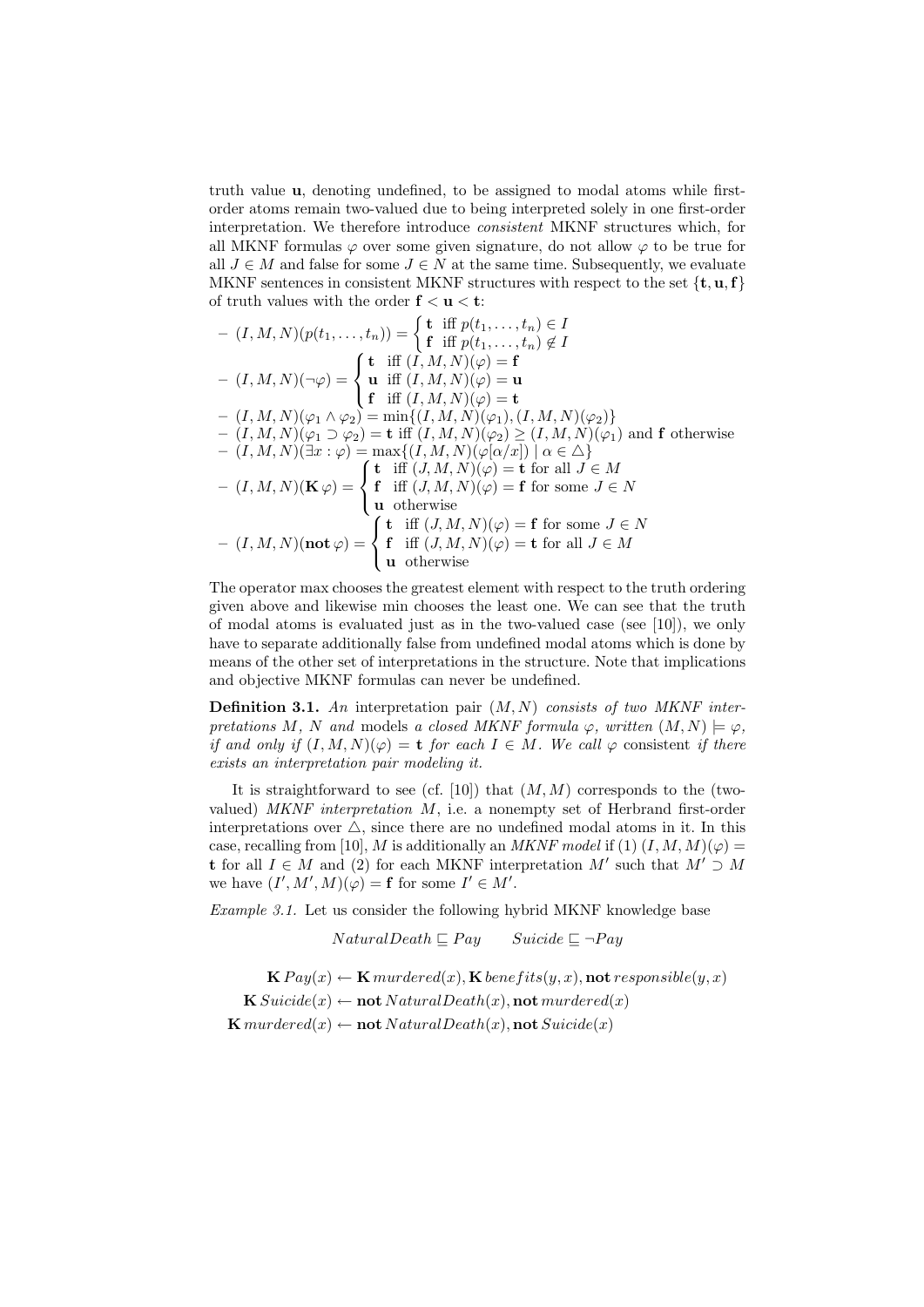truth value u, denoting undefined, to be assigned to modal atoms while firstorder atoms remain two-valued due to being interpreted solely in one first-order interpretation. We therefore introduce consistent MKNF structures which, for all MKNF formulas  $\varphi$  over some given signature, do not allow  $\varphi$  to be true for all  $J \in M$  and false for some  $J \in N$  at the same time. Subsequently, we evaluate MKNF sentences in consistent MKNF structures with respect to the set  $\{t, u, f\}$ of truth values with the order  $f < u < t$ :

$$
- (I, M, N)(p(t_1, ..., t_n)) = \begin{cases} \mathbf{t} & \text{iff } p(t_1, ..., t_n) \in I \\ \mathbf{f} & \text{iff } p(t_1, ..., t_n) \notin I \end{cases}
$$
  
\n
$$
- (I, M, N)(\neg \varphi) = \begin{cases} \mathbf{t} & \text{iff } (I, M, N)(\varphi) = \mathbf{f} \\ \mathbf{u} & \text{iff } (I, M, N)(\varphi) = \mathbf{u} \end{cases}
$$
  
\n
$$
- (I, M, N)(\varphi_1 \wedge \varphi_2) = \min\{ (I, M, N)(\varphi_1), (I, M, N)(\varphi_2) \} \\ - (I, M, N)(\varphi_1 \supset \varphi_2) = \mathbf{t} & \text{iff } (I, M, N)(\varphi_1), (I, M, N)(\varphi_1) \text{ and } \mathbf{f} & \text{otherwise}
$$
  
\n
$$
- (I, M, N)(\exists x : \varphi) = \max\{ (I, M, N)(\varphi[\alpha/x]) \mid \alpha \in \triangle \}
$$
  
\n
$$
- (I, M, N)(\mathbf{K}\varphi) = \begin{cases} \mathbf{t} & \text{iff } (J, M, N)(\varphi) = \mathbf{t} & \text{for all } J \in M \\ \mathbf{f} & \text{iff } (J, M, N)(\varphi) = \mathbf{f} & \text{for some } J \in N \\ \mathbf{u} & \text{otherwise} \end{cases}
$$
  
\n
$$
- (I, M, N)(\mathbf{not}\varphi) = \begin{cases} \mathbf{t} & \text{iff } (J, M, N)(\varphi) = \mathbf{f} & \text{for some } J \in N \\ \mathbf{f} & \text{iff } (J, M, N)(\varphi) = \mathbf{f} & \text{for some } J \in N \\ \mathbf{u} & \text{otherwise} \end{cases}
$$

The operator max chooses the greatest element with respect to the truth ordering given above and likewise min chooses the least one. We can see that the truth of modal atoms is evaluated just as in the two-valued case (see [10]), we only have to separate additionally false from undefined modal atoms which is done by means of the other set of interpretations in the structure. Note that implications and objective MKNF formulas can never be undefined.

**Definition 3.1.** An interpretation pair  $(M, N)$  consists of two MKNF interpretations M, N and models a closed MKNF formula  $\varphi$ , written  $(M, N) \models \varphi$ , if and only if  $(I, M, N)(\varphi) = \mathbf{t}$  for each  $I \in M$ . We call  $\varphi$  consistent if there exists an interpretation pair modeling it.

It is straightforward to see (cf. [10]) that  $(M, M)$  corresponds to the (twovalued) MKNF interpretation M, i.e. a nonempty set of Herbrand first-order interpretations over  $\triangle$ , since there are no undefined modal atoms in it. In this case, recalling from [10], M is additionally an MKNF model if (1)  $(I, M, M)(\varphi) =$ t for all  $I \in M$  and (2) for each MKNF interpretation  $M'$  such that  $M' \supset M$ we have  $(I', M', M)(\varphi) = \mathbf{f}$  for some  $I' \in M'.$ 

Example 3.1. Let us consider the following hybrid MKNF knowledge base

 $Natural Death \sqsubseteq Pay$  Suicide  $\sqsubseteq \neg Pay$ 

 $\mathbf{K} \, \text{Pay}(x) \leftarrow \mathbf{K} \, \text{murdered}(x), \mathbf{K} \, \text{bene} \, \text{fits}(y, x), \text{not } \text{response} \, \text{role}(y, x)$  $\mathbf{K} \textit{Suicide}(x) \leftarrow \textbf{not } \textit{Natural Death}(x), \textbf{not } \textit{murdered}(x)$  $\mathbf{K}$  murdered(x)  $\leftarrow$  **not** Natural Death(x), **not** Suicide(x)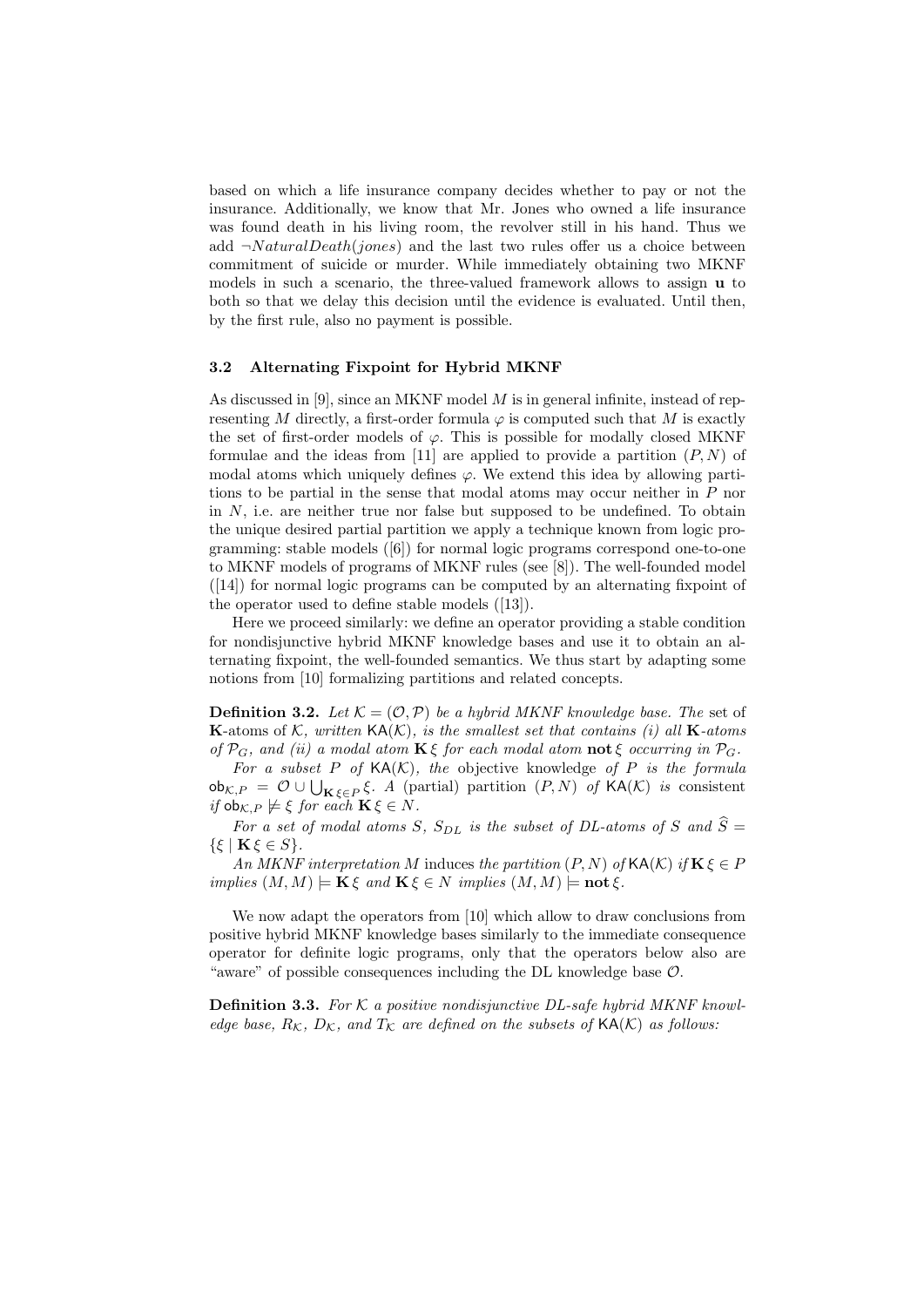based on which a life insurance company decides whether to pay or not the insurance. Additionally, we know that Mr. Jones who owned a life insurance was found death in his living room, the revolver still in his hand. Thus we add  $\neg Natural Death(jones)$  and the last two rules offer us a choice between commitment of suicide or murder. While immediately obtaining two MKNF models in such a scenario, the three-valued framework allows to assign u to both so that we delay this decision until the evidence is evaluated. Until then, by the first rule, also no payment is possible.

#### 3.2 Alternating Fixpoint for Hybrid MKNF

As discussed in [9], since an MKNF model M is in general infinite, instead of representing M directly, a first-order formula  $\varphi$  is computed such that M is exactly the set of first-order models of  $\varphi$ . This is possible for modally closed MKNF formulae and the ideas from [11] are applied to provide a partition  $(P, N)$  of modal atoms which uniquely defines  $\varphi$ . We extend this idea by allowing partitions to be partial in the sense that modal atoms may occur neither in P nor in  $N$ , i.e. are neither true nor false but supposed to be undefined. To obtain the unique desired partial partition we apply a technique known from logic programming: stable models ([6]) for normal logic programs correspond one-to-one to MKNF models of programs of MKNF rules (see [8]). The well-founded model ([14]) for normal logic programs can be computed by an alternating fixpoint of the operator used to define stable models ([13]).

Here we proceed similarly: we define an operator providing a stable condition for nondisjunctive hybrid MKNF knowledge bases and use it to obtain an alternating fixpoint, the well-founded semantics. We thus start by adapting some notions from [10] formalizing partitions and related concepts.

**Definition 3.2.** Let  $\mathcal{K} = (\mathcal{O}, \mathcal{P})$  be a hybrid MKNF knowledge base. The set of **K**-atoms of K, written  $\mathsf{KA}(\mathcal{K})$ , is the smallest set that contains (i) all **K**-atoms of  $P_G$ , and (ii) a modal atom  $\mathbf{K}\xi$  for each modal atom  $\mathbf{not}\xi$  occurring in  $P_G$ .

For a subset P of  $\mathsf{KA}(\mathcal{K})$ , the objective knowledge of P is the formula  $\mathsf{ob}_{\mathcal{K},P} \ = \ \mathcal{O} \cup \bigcup_{\mathbf{K} \, \xi \in P} \xi \text{. } A \ \text{ (partial) partition } \left(P,N\right) \text{ of } \mathsf{KA}(\mathcal{K}) \text{ is consistent}$ if  $\text{ob}_{\mathcal{K},P} \not\models \xi$  for each  $\mathbf{K}\xi \in N$ .

For a set of modal atoms S,  $S_{DL}$  is the subset of DL-atoms of S and  $\widehat{S} =$  $\{\xi \mid \mathbf{K}\xi \in S\}.$ 

An MKNF interpretation M induces the partition  $(P, N)$  of  $\mathsf{KA}(\mathcal{K})$  if  $\mathbf{K} \xi \in P$ implies  $(M, M) \models \mathbf{K} \xi$  and  $\mathbf{K} \xi \in N$  implies  $(M, M) \models \textbf{not} \xi$ .

We now adapt the operators from [10] which allow to draw conclusions from positive hybrid MKNF knowledge bases similarly to the immediate consequence operator for definite logic programs, only that the operators below also are "aware" of possible consequences including the DL knowledge base  $\mathcal{O}$ .

**Definition 3.3.** For  $K$  a positive nondisjunctive DL-safe hybrid MKNF knowledge base,  $R_K$ ,  $D_K$ , and  $T_K$  are defined on the subsets of  $\mathsf{KA}(\mathcal{K})$  as follows: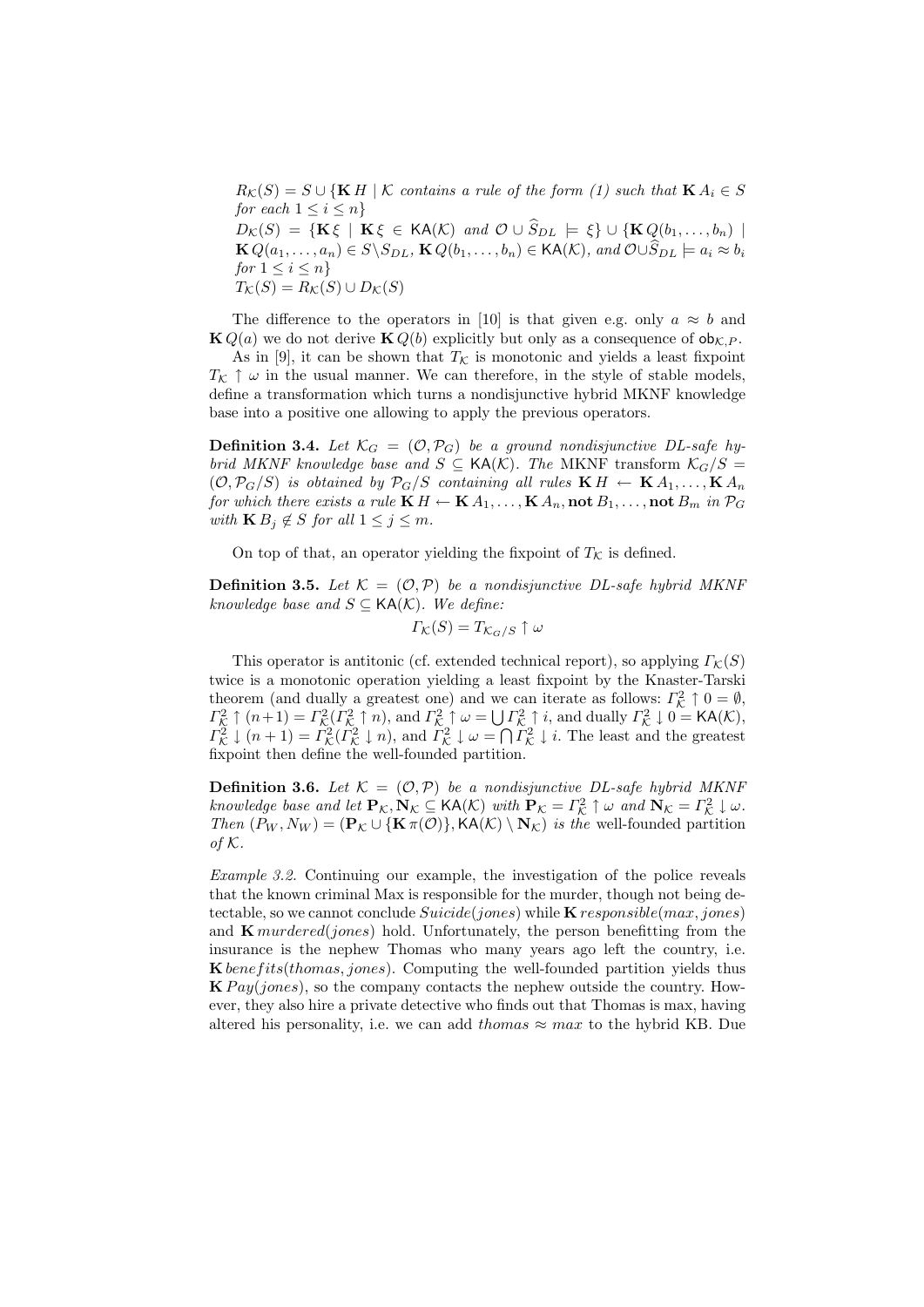$R_K(S) = S \cup {KH \mid K}$  contains a rule of the form (1) such that  $K A_i \in S$ for each  $1 \leq i \leq n$  $D_{\mathcal{K}}(S) = \{ \mathbf{K} \xi \mid \mathbf{K} \xi \in \mathsf{KA}(\mathcal{K}) \text{ and } \mathcal{O} \cup \widehat{S}_{DL} \models \xi \} \cup \{ \mathbf{K} Q(b_1, \ldots, b_n) \mid$ 

 $\mathbf{K} Q(a_1, \ldots, a_n) \in S \backslash S_{DL}$ ,  $\mathbf{K} Q(b_1, \ldots, b_n) \in \mathsf{KA}(\mathcal{K})$ , and  $\mathcal{O} \cup \widehat{S}_{DL} \models a_i \approx b_i$ for  $1 \leq i \leq n$  $T_{\mathcal{K}}(S) = R_{\mathcal{K}}(S) \cup D_{\mathcal{K}}(S)$ 

The difference to the operators in [10] is that given e.g. only  $a \approx b$  and  $\mathbf{K} Q(a)$  we do not derive  $\mathbf{K} Q(b)$  explicitly but only as a consequence of  $\mathbf{ob}_{\mathcal{K},P}$ .

As in [9], it can be shown that  $T_K$  is monotonic and yields a least fixpoint  $T_K \uparrow \omega$  in the usual manner. We can therefore, in the style of stable models, define a transformation which turns a nondisjunctive hybrid MKNF knowledge base into a positive one allowing to apply the previous operators.

**Definition 3.4.** Let  $\mathcal{K}_G = (\mathcal{O}, \mathcal{P}_G)$  be a ground nondisjunctive DL-safe hybrid MKNF knowledge base and  $S \subseteq KA(K)$ . The MKNF transform  $K_G/S =$  $(\mathcal{O}, \mathcal{P}_G/S)$  is obtained by  $\mathcal{P}_G/S$  containing all rules  $\mathbf{K} H \leftarrow \mathbf{K} A_1, \ldots, \mathbf{K} A_n$ for which there exists a rule  $\mathbf{K} H \leftarrow \mathbf{K} A_1, \ldots, \mathbf{K} A_n$ , not  $B_1, \ldots$ , not  $B_m$  in  $\mathcal{P}_G$ with  $\mathbf{K} B_j \notin S$  for all  $1 \leq j \leq m$ .

On top of that, an operator yielding the fixpoint of  $T_K$  is defined.

**Definition 3.5.** Let  $\mathcal{K} = (\mathcal{O}, \mathcal{P})$  be a nondisjunctive DL-safe hybrid MKNF knowledge base and  $S \subseteq KA(K)$ . We define:

$$
\varGamma_{\mathcal{K}}(S) = T_{\mathcal{K}_G/S} \uparrow \omega
$$

This operator is antitonic (cf. extended technical report), so applying  $\Gamma_K(S)$ twice is a monotonic operation yielding a least fixpoint by the Knaster-Tarski theorem (and dually a greatest one) and we can iterate as follows:  $\Gamma_{\mathcal{K}}^2 \uparrow 0 = \emptyset$ ,  $\Gamma_{\mathcal{K}}^2 \uparrow (n+1) = \Gamma_{\mathcal{K}}^2(\Gamma_{\mathcal{K}}^2 \uparrow n)$ , and  $\Gamma_{\mathcal{K}}^2 \uparrow \omega = \bigcup \Gamma_{\mathcal{K}}^2 \uparrow i$ , and dually  $\Gamma_{\mathcal{K}}^2 \downarrow 0 = \text{KA}(\mathcal{K})$ ,  $\Gamma_{\mathcal{K}}^2 \downarrow (n+1) = \Gamma_{\mathcal{K}}^2(\Gamma_{\mathcal{K}}^2 \downarrow n)$ , and  $\Gamma_{\mathcal{K}}^2 \downarrow \omega = \bigcap \Gamma_{\mathcal{K}}^2 \downarrow i$ . The least and the greatest fixpoint then define the well-founded partition.

**Definition 3.6.** Let  $K = (O, P)$  be a nondisjunctive DL-safe hybrid MKNF knowledge base and let  $\mathbf{P}_{\mathcal{K}}, \mathbf{N}_{\mathcal{K}} \subseteq \mathsf{KA}(\mathcal{K})$  with  $\mathbf{P}_{\mathcal{K}} = \Gamma_{\mathcal{K}}^2 \uparrow \omega$  and  $\mathbf{N}_{\mathcal{K}} = \Gamma_{\mathcal{K}}^2 \downarrow \omega$ . Then  $(P_W, N_W) = (\mathbf{P}_{\mathcal{K}} \cup {\mathbf{K} \pi(\mathcal{O})}, \text{KA}(\mathcal{K}) \setminus \mathbf{N}_{\mathcal{K}})$  is the well-founded partition of  $K$ .

Example 3.2. Continuing our example, the investigation of the police reveals that the known criminal Max is responsible for the murder, though not being detectable, so we cannot conclude  $Since(jones)$  while  $\bf{K}$  responsible(max, jones) and  $\bf{K}$  murdered(jones) hold. Unfortunately, the person benefitting from the insurance is the nephew Thomas who many years ago left the country, i.e.  $\bf{K}$  *benefits*(*thomas, jones*). Computing the well-founded partition yields thus  $\mathbf{K} \, \mathit{Pay}(\mathit{jones})$ , so the company contacts the nephew outside the country. However, they also hire a private detective who finds out that Thomas is max, having altered his personality, i.e. we can add thomas  $\approx$  max to the hybrid KB. Due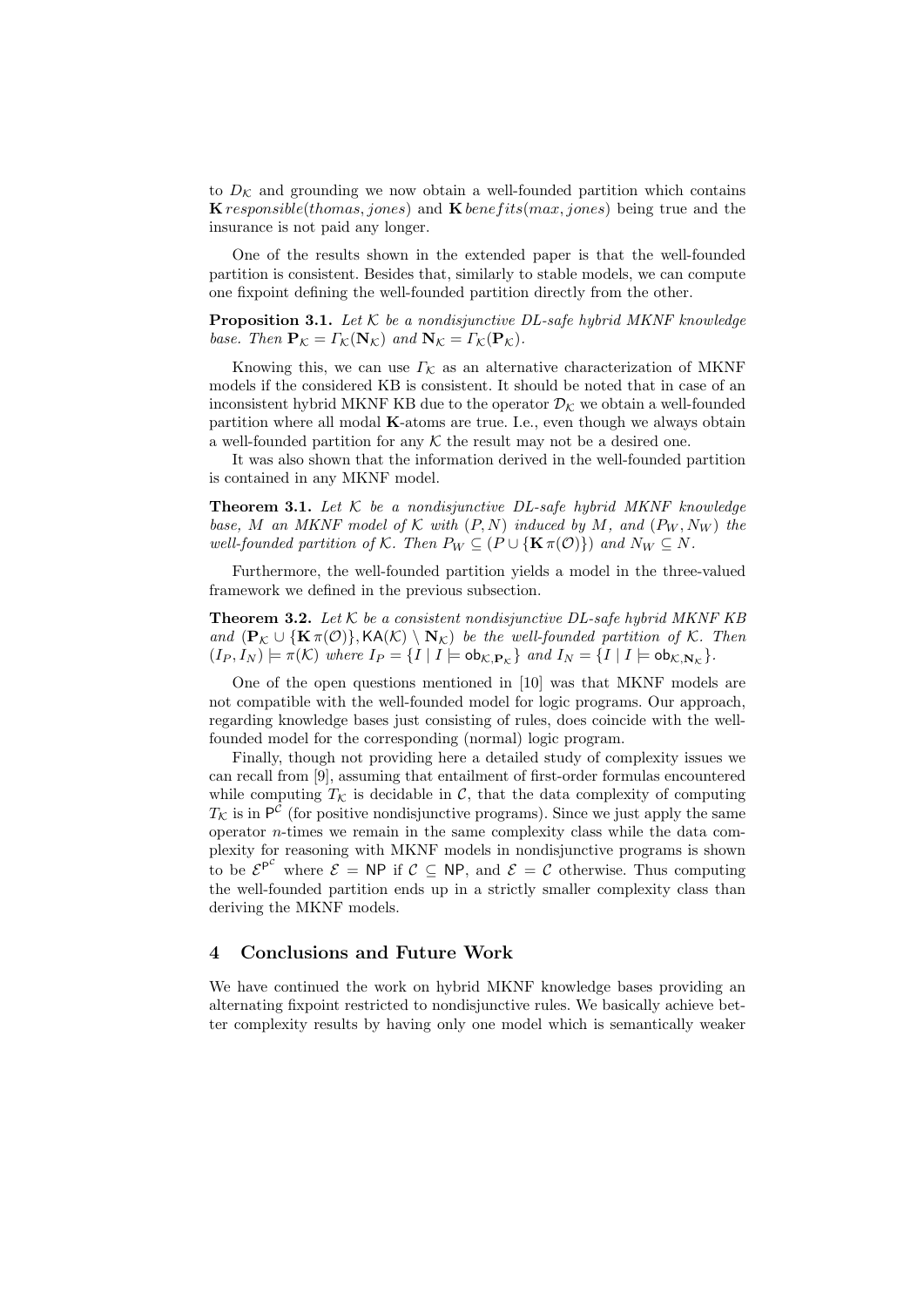to  $D_K$  and grounding we now obtain a well-founded partition which contains **K** responsible(thomas, jones) and **K** benefits(max, jones) being true and the insurance is not paid any longer.

One of the results shown in the extended paper is that the well-founded partition is consistent. Besides that, similarly to stable models, we can compute one fixpoint defining the well-founded partition directly from the other.

**Proposition 3.1.** Let  $K$  be a nondisjunctive DL-safe hybrid MKNF knowledge base. Then  $\mathbf{P}_{\mathcal{K}} = \Gamma_{\mathcal{K}}(\mathbf{N}_{\mathcal{K}})$  and  $\mathbf{N}_{\mathcal{K}} = \Gamma_{\mathcal{K}}(\mathbf{P}_{\mathcal{K}})$ .

Knowing this, we can use  $\Gamma_{\mathcal{K}}$  as an alternative characterization of MKNF models if the considered KB is consistent. It should be noted that in case of an inconsistent hybrid MKNF KB due to the operator  $\mathcal{D}_{\mathcal{K}}$  we obtain a well-founded partition where all modal K-atoms are true. I.e., even though we always obtain a well-founded partition for any  $K$  the result may not be a desired one.

It was also shown that the information derived in the well-founded partition is contained in any MKNF model.

**Theorem 3.1.** Let  $K$  be a nondisjunctive DL-safe hybrid MKNF knowledge base, M an MKNF model of K with  $(P, N)$  induced by M, and  $(P_W, N_W)$  the well-founded partition of K. Then  $P_W \subseteq (P \cup {\bf K} \pi(O))$  and  $N_W \subseteq N$ .

Furthermore, the well-founded partition yields a model in the three-valued framework we defined in the previous subsection.

**Theorem 3.2.** Let  $K$  be a consistent nondisjunctive DL-safe hybrid MKNF KB and  $(\mathbf{P}_{\mathcal{K}} \cup {\mathbf{K} \pi(\mathcal{O})},\mathsf{KA}(\mathcal{K}) \setminus \mathbf{N}_{\mathcal{K}})$  be the well-founded partition of  $\mathcal{K}$ . Then  $(I_P, I_N) \models \pi(K)$  where  $I_P = \{I \mid I \models \text{ob}_{\mathcal{K}, P_K}\}\$  and  $I_N = \{I \mid I \models \text{ob}_{\mathcal{K}, N_K}\}.$ 

One of the open questions mentioned in [10] was that MKNF models are not compatible with the well-founded model for logic programs. Our approach, regarding knowledge bases just consisting of rules, does coincide with the wellfounded model for the corresponding (normal) logic program.

Finally, though not providing here a detailed study of complexity issues we can recall from [9], assuming that entailment of first-order formulas encountered while computing  $T_{\mathcal{K}}$  is decidable in C, that the data complexity of computing  $T_{\mathcal{K}}$  is in  $\mathsf{P}^{\mathcal{C}}$  (for positive nondisjunctive programs). Since we just apply the same operator n-times we remain in the same complexity class while the data complexity for reasoning with MKNF models in nondisjunctive programs is shown to be  $\mathcal{E}^{\mathsf{P}^{\mathcal{C}}}$  where  $\mathcal{E} = \mathsf{NP}$  if  $\mathcal{C} \subseteq \mathsf{NP}$ , and  $\mathcal{E} = \mathcal{C}$  otherwise. Thus computing the well-founded partition ends up in a strictly smaller complexity class than deriving the MKNF models.

## 4 Conclusions and Future Work

We have continued the work on hybrid MKNF knowledge bases providing an alternating fixpoint restricted to nondisjunctive rules. We basically achieve better complexity results by having only one model which is semantically weaker